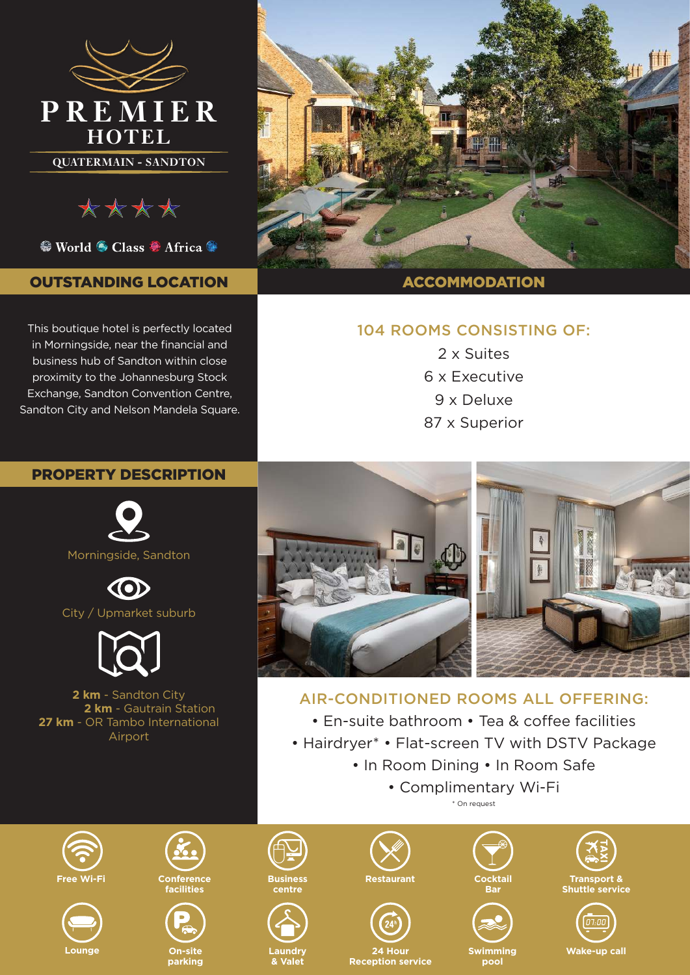

\*\*\*\*

<sup>●</sup> World ● Class ● Africa ●

## OUTSTANDING LOCATION

This boutique hotel is perfectly located in Morningside, near the financial and business hub of Sandton within close proximity to the Johannesburg Stock Exchange, Sandton Convention Centre, Sandton City and Nelson Mandela Square.



## 104 ROOMS CONSISTING OF:

2 x Suites 6 x Executive 9 x Deluxe 87 x Superior

## PROPERTY DESCRIPTION



 $\odot$ City / Upmarket suburb



**2 km** - Sandton City **2 km** - Gautrain Station **27 km** - OR Tambo International Airport



# AIR-CONDITIONED ROOMS ALL OFFERING:

• En-suite bathroom • Tea & coffee facilities

- Hairdryer\* Flat-screen TV with DSTV Package
	- In Room Dining In Room Safe
		- Complimentary Wi-Fi \* On request









**On-site parking**



**Business centre**



**Restaurant**



**24 Hour Reception service**



**Swimming pool**





**Wake-up call**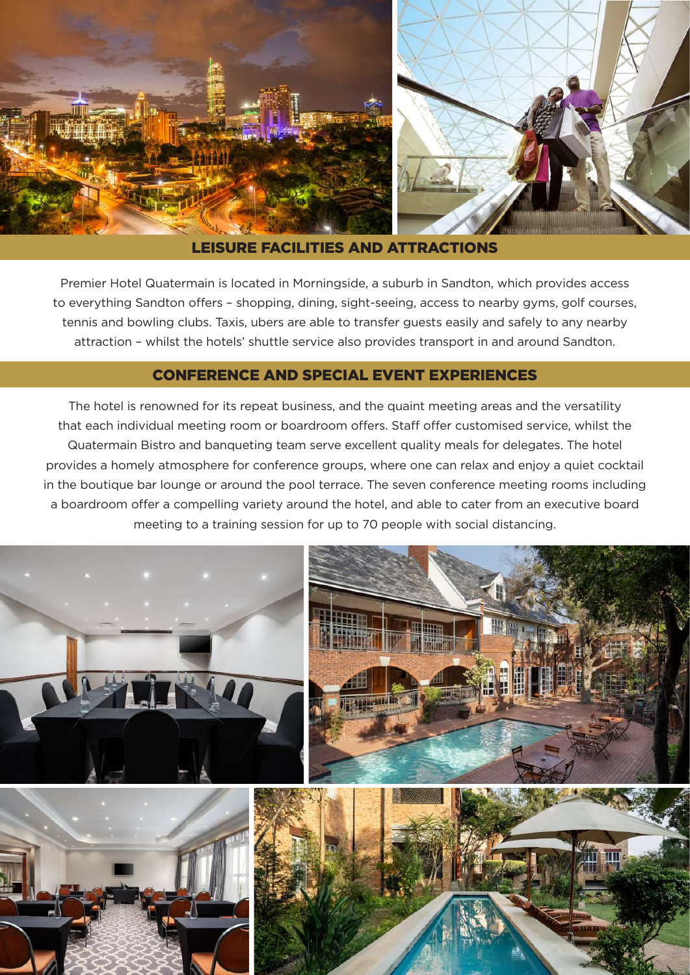

## LEISURE FACILITIES AND ATTRACTIONS

Premier Hotel Quatermain is located in Morningside, a suburb in Sandton, which provides access to everything Sandton offers – shopping, dining, sight-seeing, access to nearby gyms, golf courses, tennis and bowling clubs. Taxis, ubers are able to transfer guests easily and safely to any nearby attraction – whilst the hotels' shuttle service also provides transport in and around Sandton.

## CONFERENCE AND SPECIAL EVENT EXPERIENCES

The hotel is renowned for its repeat business, and the quaint meeting areas and the versatility that each individual meeting room or boardroom offers. Staff offer customised service, whilst the Quatermain Bistro and banqueting team serve excellent quality meals for delegates. The hotel provides a homely atmosphere for conference groups, where one can relax and enjoy a quiet cocktail in the boutique bar lounge or around the pool terrace. The seven conference meeting rooms including a boardroom offer a compelling variety around the hotel, and able to cater from an executive board meeting to a training session for up to 70 people with social distancing.